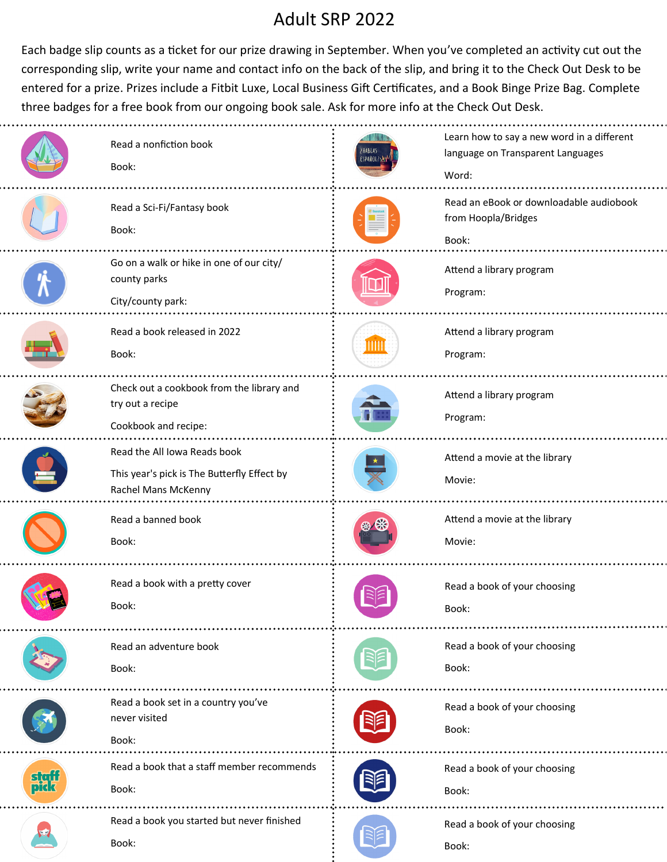## Adult SRP 2022

Each badge slip counts as a ticket for our prize drawing in September. When you've completed an activity cut out the corresponding slip, write your name and contact info on the back of the slip, and bring it to the Check Out Desk to be entered for a prize. Prizes include a Fitbit Luxe, Local Business Gift Certificates, and a Book Binge Prize Bag. Complete three badges for a free book from our ongoing book sale. Ask for more info at the Check Out Desk.

|             | Read a nonfiction book<br>Book:                                                                    | HABLAS<br>SPANOL? | Learn how to say a new word in a different<br>language on Transparent Languages<br>Word: |
|-------------|----------------------------------------------------------------------------------------------------|-------------------|------------------------------------------------------------------------------------------|
|             | Read a Sci-Fi/Fantasy book<br>Book:                                                                |                   | Read an eBook or downloadable audiobook<br>from Hoopla/Bridges<br>Book:                  |
|             | Go on a walk or hike in one of our city/<br>county parks<br>City/county park:                      |                   | Attend a library program<br>Program:                                                     |
|             | Read a book released in 2022<br>Book:                                                              |                   | Attend a library program<br>Program:                                                     |
|             | Check out a cookbook from the library and<br>try out a recipe<br>Cookbook and recipe:              |                   | Attend a library program<br>Program:                                                     |
|             | Read the All Iowa Reads book<br>This year's pick is The Butterfly Effect by<br>Rachel Mans McKenny |                   | Attend a movie at the library<br>Movie:                                                  |
|             | Read a banned book<br>Book:                                                                        |                   | Attend a movie at the library<br>Movie:                                                  |
|             | Read a book with a pretty cover<br>Book:                                                           |                   | Read a book of your choosing<br>Book:                                                    |
|             | Read an adventure book<br>Book:                                                                    |                   | Read a book of your choosing<br>Book:                                                    |
|             | Read a book set in a country you've<br>never visited<br>Book:                                      |                   | Read a book of your choosing<br>Book:                                                    |
| sgj<br>pid: | Read a book that a staff member recommends<br>Book:                                                |                   | Read a book of your choosing<br>Book:                                                    |
|             | Read a book you started but never finished<br>Book:                                                |                   | Read a book of your choosing<br>Book:                                                    |